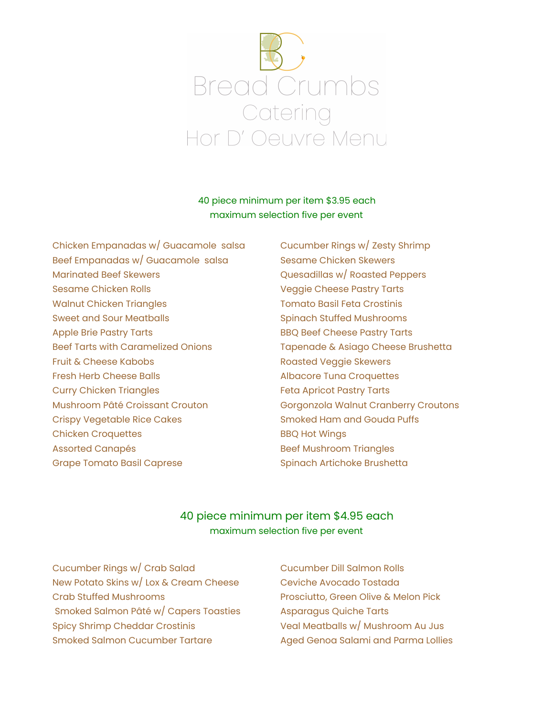

#### 40 piece minimum per item \$3.95 each maximum selection five per event

Chicken Empanadas w/ Guacamole salsa Cucumber Rings w/ Zesty Shrimp Beef Empanadas w/ Guacamole salsa Sesame Chicken Skewers Marinated Beef Skewers **Marinated Beef Skewers** Cuesadillas w/ Roasted Peppers Sesame Chicken Rolls Veggie Cheese Pastry Tarts Walnut Chicken Triangles The Tomato Basil Feta Crostinis Sweet and Sour Meatballs Spinach Stuffed Mushrooms Apple Brie Pastry Tarts **BBQ Beef Cheese Pastry Tarts** Beef Tarts with Caramelized Onions Tapenade & Asiago Cheese Brushetta Fruit & Cheese Kabobs **Roasted Veggie Skewers** Fresh Herb Cheese Balls **Albacore Tuna Croquettes** Curry Chicken Triangles **Feta Apricot Pastry Tarts** Mushroom Pâté Croissant Crouton Gorgonzola Walnut Cranberry Croutons Crispy Vegetable Rice Cakes Smoked Ham and Gouda Puffs Chicken Croquettes **BBQ Hot Wings** Assorted Canapés **Beef Mushroom Triangles** Grape Tomato Basil Caprese Spinach Artichoke Brushetta

#### 40 piece minimum per item \$4.95 each maximum selection five per event

Cucumber Rings w/ Crab Salad Cucumber Dill Salmon Rolls New Potato Skins w/ Lox & Cream Cheese Ceviche Avocado Tostada Crab Stuffed Mushrooms Prosciutto, Green Olive & Melon Pick Smoked Salmon Pâté w/ Capers Toasties Asparagus Quiche Tarts Spicy Shrimp Cheddar Crostinis Veal Meatballs w/ Mushroom Au Jus Smoked Salmon Cucumber Tartare Aged Genoa Salami and Parma Lollies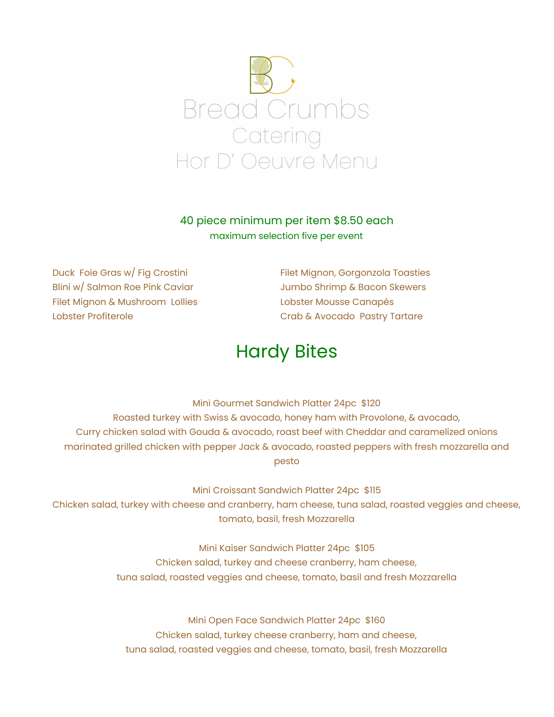

### 40 piece minimum per item \$8.50 each maximum selection five per event

Duck Foie Gras w/ Fig Crostini Filet Mignon, Gorgonzola Toasties Blini w/ Salmon Roe Pink Caviar **Jumbo Shrimp & Bacon Skewers** Filet Mignon & Mushroom Lollies Lobster Mousse Canapés Lobster Profiterole **Crab & Avocado Pastry Tartare** 

# Hardy Bites

Mini Gourmet Sandwich Platter 24pc \$120 Roasted turkey with Swiss & avocado, honey ham with Provolone, & avocado, Curry chicken salad with Gouda & avocado, roast beef with Cheddar and caramelized onions marinated grilled chicken with pepper Jack & avocado, roasted peppers with fresh mozzarella and pesto

Mini Croissant Sandwich Platter 24pc \$115

Chicken salad, turkey with cheese and cranberry, ham cheese, tuna salad, roasted veggies and cheese, tomato, basil, fresh Mozzarella

> Mini Kaiser Sandwich Platter 24pc \$105 Chicken salad, turkey and cheese cranberry, ham cheese, tuna salad, roasted veggies and cheese, tomato, basil and fresh Mozzarella

Mini Open Face Sandwich Platter 24pc \$160 Chicken salad, turkey cheese cranberry, ham and cheese, tuna salad, roasted veggies and cheese, tomato, basil, fresh Mozzarella